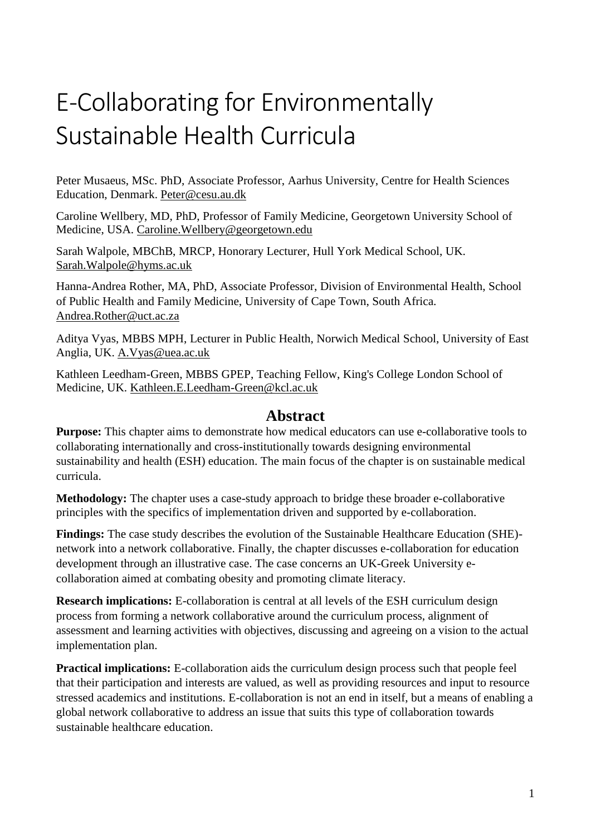# E-Collaborating for Environmentally Sustainable Health Curricula

Peter Musaeus, MSc. PhD, Associate Professor, Aarhus University, Centre for Health Sciences Education, Denmark. [Peter@cesu.au.dk](mailto:Peter@cesu.au.dk)

Caroline Wellbery, MD, PhD, Professor of Family Medicine, Georgetown University School of Medicine, USA. [Caroline.Wellbery@georgetown.edu](mailto:Caroline.Wellbery@georgetown.edu)

Sarah Walpole, MBChB, MRCP, Honorary Lecturer, Hull York Medical School, UK. [Sarah.Walpole@hyms.ac.uk](mailto:Sarah.Walpole@hyms.ac.uk)

Hanna-Andrea Rother, MA, PhD, Associate Professor, Division of Environmental Health, School of Public Health and Family Medicine, University of Cape Town, South Africa. [Andrea.Rother@uct.ac.za](mailto:Andrea.Rother@uct.ac.za)

Aditya Vyas, MBBS MPH, Lecturer in Public Health, Norwich Medical School, University of East Anglia, UK. [A.Vyas@uea.ac.uk](mailto:A.Vyas@uea.ac.uk)

Kathleen Leedham-Green, MBBS GPEP, Teaching Fellow, King's College London School of Medicine, UK. [Kathleen.E.Leedham-Green@kcl.ac.uk](mailto:Kathleen.E.Leedham-Green@kcl.ac.uk)

## **Abstract**

**Purpose:** This chapter aims to demonstrate how medical educators can use e-collaborative tools to collaborating internationally and cross-institutionally towards designing environmental sustainability and health (ESH) education. The main focus of the chapter is on sustainable medical curricula.

**Methodology:** The chapter uses a case-study approach to bridge these broader e-collaborative principles with the specifics of implementation driven and supported by e-collaboration.

**Findings:** The case study describes the evolution of the Sustainable Healthcare Education (SHE) network into a network collaborative. Finally, the chapter discusses e-collaboration for education development through an illustrative case. The case concerns an UK-Greek University ecollaboration aimed at combating obesity and promoting climate literacy.

**Research implications:** E-collaboration is central at all levels of the ESH curriculum design process from forming a network collaborative around the curriculum process, alignment of assessment and learning activities with objectives, discussing and agreeing on a vision to the actual implementation plan.

**Practical implications:** E-collaboration aids the curriculum design process such that people feel that their participation and interests are valued, as well as providing resources and input to resource stressed academics and institutions. E-collaboration is not an end in itself, but a means of enabling a global network collaborative to address an issue that suits this type of collaboration towards sustainable healthcare education.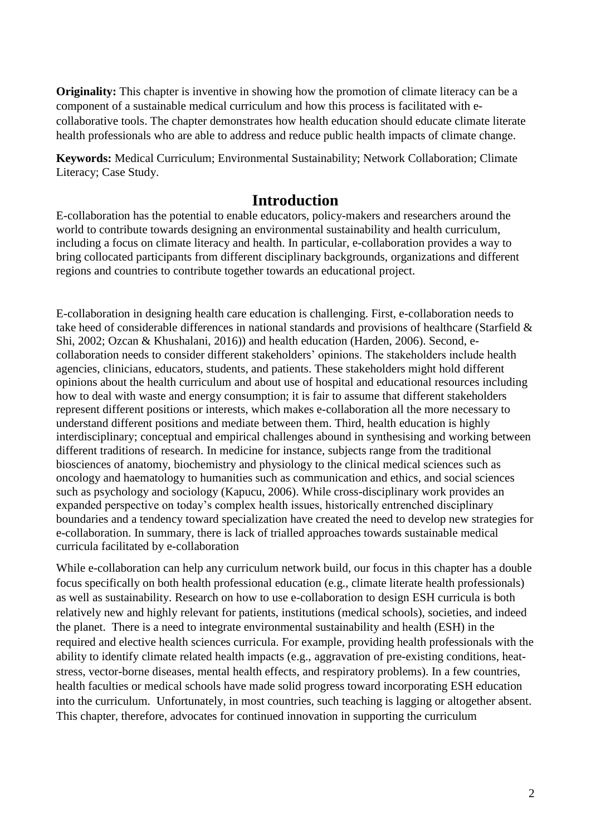**Originality:** This chapter is inventive in showing how the promotion of climate literacy can be a component of a sustainable medical curriculum and how this process is facilitated with ecollaborative tools. The chapter demonstrates how health education should educate climate literate health professionals who are able to address and reduce public health impacts of climate change.

**Keywords:** Medical Curriculum; Environmental Sustainability; Network Collaboration; Climate Literacy; Case Study.

## **Introduction**

E-collaboration has the potential to enable educators, policy-makers and researchers around the world to contribute towards designing an environmental sustainability and health curriculum, including a focus on climate literacy and health. In particular, e-collaboration provides a way to bring collocated participants from different disciplinary backgrounds, organizations and different regions and countries to contribute together towards an educational project.

E-collaboration in designing health care education is challenging. First, e-collaboration needs to take heed of considerable differences in national standards and provisions of healthcare (Starfield & Shi, 2002; Ozcan & Khushalani, 2016)) and health education (Harden, 2006). Second, ecollaboration needs to consider different stakeholders' opinions. The stakeholders include health agencies, clinicians, educators, students, and patients. These stakeholders might hold different opinions about the health curriculum and about use of hospital and educational resources including how to deal with waste and energy consumption; it is fair to assume that different stakeholders represent different positions or interests, which makes e-collaboration all the more necessary to understand different positions and mediate between them. Third, health education is highly interdisciplinary; conceptual and empirical challenges abound in synthesising and working between different traditions of research. In medicine for instance, subjects range from the traditional biosciences of anatomy, biochemistry and physiology to the clinical medical sciences such as oncology and haematology to humanities such as communication and ethics, and social sciences such as psychology and sociology (Kapucu, 2006). While cross-disciplinary work provides an expanded perspective on today's complex health issues, historically entrenched disciplinary boundaries and a tendency toward specialization have created the need to develop new strategies for e-collaboration. In summary, there is lack of trialled approaches towards sustainable medical curricula facilitated by e-collaboration

While e-collaboration can help any curriculum network build, our focus in this chapter has a double focus specifically on both health professional education (e.g., climate literate health professionals) as well as sustainability. Research on how to use e-collaboration to design ESH curricula is both relatively new and highly relevant for patients, institutions (medical schools), societies, and indeed the planet. There is a need to integrate environmental sustainability and health (ESH) in the required and elective health sciences curricula. For example, providing health professionals with the ability to identify climate related health impacts (e.g., aggravation of pre-existing conditions, heatstress, vector-borne diseases, mental health effects, and respiratory problems). In a few countries, health faculties or medical schools have made solid progress toward incorporating ESH education into the curriculum. Unfortunately, in most countries, such teaching is lagging or altogether absent. This chapter, therefore, advocates for continued innovation in supporting the curriculum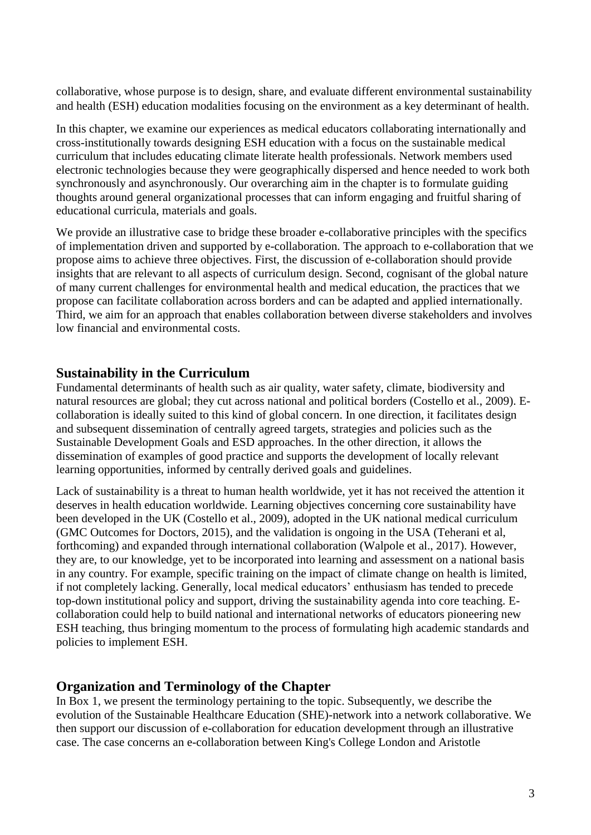collaborative, whose purpose is to design, share, and evaluate different environmental sustainability and health (ESH) education modalities focusing on the environment as a key determinant of health.

In this chapter, we examine our experiences as medical educators collaborating internationally and cross-institutionally towards designing ESH education with a focus on the sustainable medical curriculum that includes educating climate literate health professionals. Network members used electronic technologies because they were geographically dispersed and hence needed to work both synchronously and asynchronously. Our overarching aim in the chapter is to formulate guiding thoughts around general organizational processes that can inform engaging and fruitful sharing of educational curricula, materials and goals.

We provide an illustrative case to bridge these broader e-collaborative principles with the specifics of implementation driven and supported by e-collaboration. The approach to e-collaboration that we propose aims to achieve three objectives. First, the discussion of e-collaboration should provide insights that are relevant to all aspects of curriculum design. Second, cognisant of the global nature of many current challenges for environmental health and medical education, the practices that we propose can facilitate collaboration across borders and can be adapted and applied internationally. Third, we aim for an approach that enables collaboration between diverse stakeholders and involves low financial and environmental costs.

## **Sustainability in the Curriculum**

Fundamental determinants of health such as air quality, water safety, climate, biodiversity and natural resources are global; they cut across national and political borders (Costello et al., 2009). Ecollaboration is ideally suited to this kind of global concern. In one direction, it facilitates design and subsequent dissemination of centrally agreed targets, strategies and policies such as the Sustainable Development Goals and ESD approaches. In the other direction, it allows the dissemination of examples of good practice and supports the development of locally relevant learning opportunities, informed by centrally derived goals and guidelines.

Lack of sustainability is a threat to human health worldwide, yet it has not received the attention it deserves in health education worldwide. Learning objectives concerning core sustainability have been developed in the UK (Costello et al., 2009), adopted in the UK national medical curriculum (GMC Outcomes for Doctors, 2015), and the validation is ongoing in the USA (Teherani et al, forthcoming) and expanded through international collaboration (Walpole et al., 2017). However, they are, to our knowledge, yet to be incorporated into learning and assessment on a national basis in any country. For example, specific training on the impact of climate change on health is limited, if not completely lacking. Generally, local medical educators' enthusiasm has tended to precede top-down institutional policy and support, driving the sustainability agenda into core teaching. Ecollaboration could help to build national and international networks of educators pioneering new ESH teaching, thus bringing momentum to the process of formulating high academic standards and policies to implement ESH.

## **Organization and Terminology of the Chapter**

In Box 1, we present the terminology pertaining to the topic. Subsequently, we describe the evolution of the Sustainable Healthcare Education (SHE)-network into a network collaborative. We then support our discussion of e-collaboration for education development through an illustrative case. The case concerns an e-collaboration between King's College London and Aristotle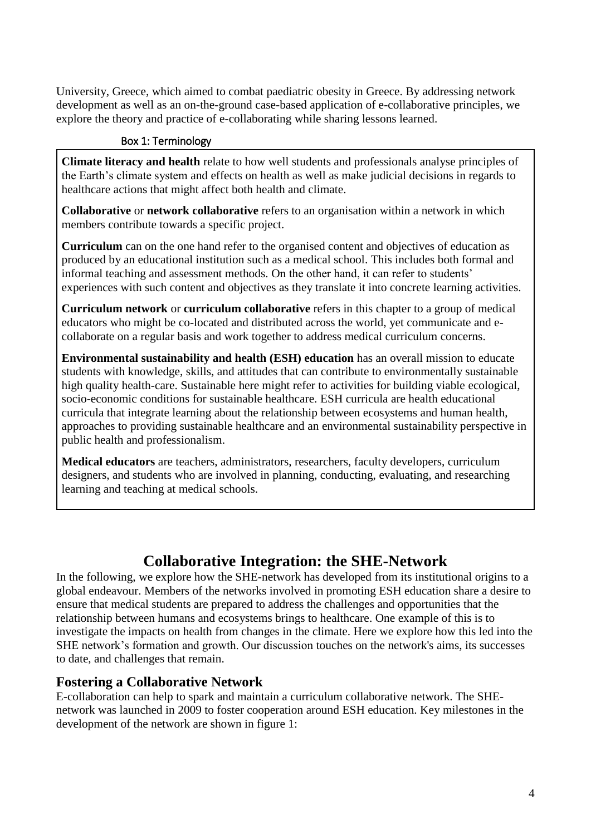University, Greece, which aimed to combat paediatric obesity in Greece. By addressing network development as well as an on-the-ground case-based application of e-collaborative principles, we explore the theory and practice of e-collaborating while sharing lessons learned.

## Box 1: Terminology

**Climate literacy and health** relate to how well students and professionals analyse principles of the Earth's climate system and effects on health as well as make judicial decisions in regards to healthcare actions that might affect both health and climate.

**Collaborative** or **network collaborative** refers to an organisation within a network in which members contribute towards a specific project.

**Curriculum** can on the one hand refer to the organised content and objectives of education as produced by an educational institution such as a medical school. This includes both formal and informal teaching and assessment methods. On the other hand, it can refer to students' experiences with such content and objectives as they translate it into concrete learning activities.

**Curriculum network** or **curriculum collaborative** refers in this chapter to a group of medical educators who might be co-located and distributed across the world, yet communicate and ecollaborate on a regular basis and work together to address medical curriculum concerns.

**Environmental sustainability and health (ESH) education** has an overall mission to educate students with knowledge, skills, and attitudes that can contribute to environmentally sustainable high quality health-care. Sustainable here might refer to activities for building viable ecological, socio-economic conditions for sustainable healthcare. ESH curricula are health educational curricula that integrate learning about the relationship between ecosystems and human health, approaches to providing sustainable healthcare and an environmental sustainability perspective in public health and professionalism.

**Medical educators** are teachers, administrators, researchers, faculty developers, curriculum designers, and students who are involved in planning, conducting, evaluating, and researching learning and teaching at medical schools.

# **Collaborative Integration: the SHE-Network**

In the following, we explore how the SHE-network has developed from its institutional origins to a global endeavour. Members of the networks involved in promoting ESH education share a desire to ensure that medical students are prepared to address the challenges and opportunities that the relationship between humans and ecosystems brings to healthcare. One example of this is to investigate the impacts on health from changes in the climate. Here we explore how this led into the SHE network's formation and growth. Our discussion touches on the network's aims, its successes to date, and challenges that remain.

## **Fostering a Collaborative Network**

E-collaboration can help to spark and maintain a curriculum collaborative network. The SHEnetwork was launched in 2009 to foster cooperation around ESH education. Key milestones in the development of the network are shown in figure 1: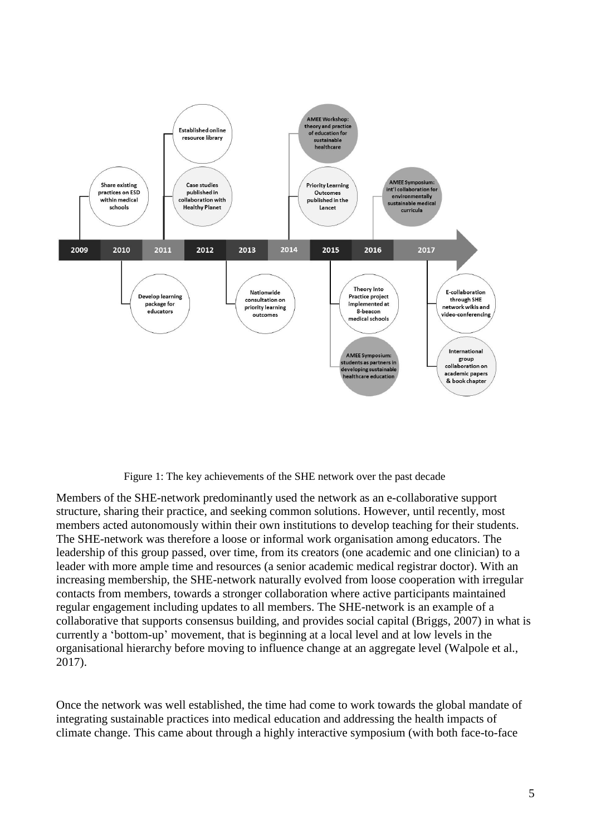

Figure 1: The key achievements of the SHE network over the past decade

Members of the SHE-network predominantly used the network as an e-collaborative support structure, sharing their practice, and seeking common solutions. However, until recently, most members acted autonomously within their own institutions to develop teaching for their students. The SHE-network was therefore a loose or informal work organisation among educators. The leadership of this group passed, over time, from its creators (one academic and one clinician) to a leader with more ample time and resources (a senior academic medical registrar doctor). With an increasing membership, the SHE-network naturally evolved from loose cooperation with irregular contacts from members, towards a stronger collaboration where active participants maintained regular engagement including updates to all members. The SHE-network is an example of a collaborative that supports consensus building, and provides social capital (Briggs, 2007) in what is currently a 'bottom-up' movement, that is beginning at a local level and at low levels in the organisational hierarchy before moving to influence change at an aggregate level (Walpole et al., 2017).

Once the network was well established, the time had come to work towards the global mandate of integrating sustainable practices into medical education and addressing the health impacts of climate change. This came about through a highly interactive symposium (with both face-to-face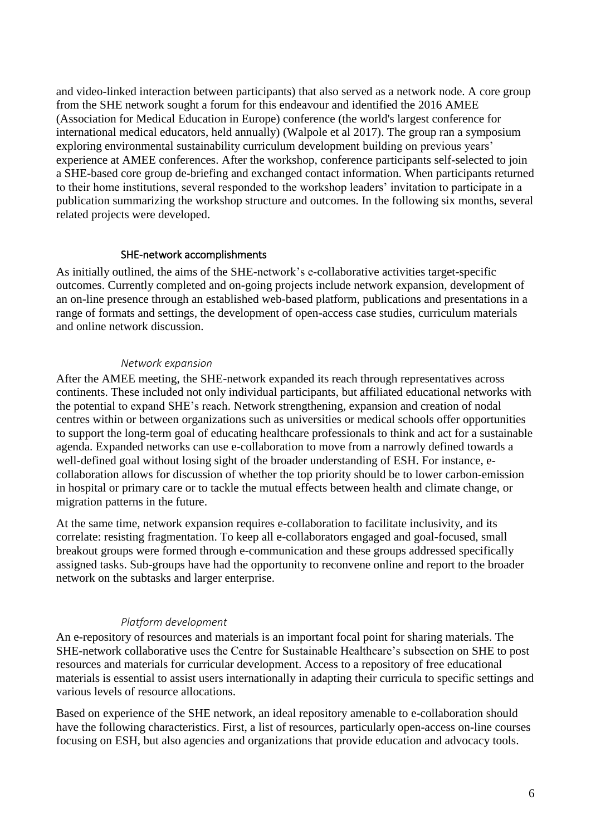and video-linked interaction between participants) that also served as a network node. A core group from the SHE network sought a forum for this endeavour and identified the 2016 AMEE (Association for Medical Education in Europe) conference (the world's largest conference for international medical educators, held annually) (Walpole et al 2017). The group ran a symposium exploring environmental sustainability curriculum development building on previous years' experience at AMEE conferences. After the workshop, conference participants self-selected to join a SHE-based core group de-briefing and exchanged contact information. When participants returned to their home institutions, several responded to the workshop leaders' invitation to participate in a publication summarizing the workshop structure and outcomes. In the following six months, several related projects were developed.

#### SHE-network accomplishments

As initially outlined, the aims of the SHE-network's e-collaborative activities target-specific outcomes. Currently completed and on-going projects include network expansion, development of an on-line presence through an established web-based platform, publications and presentations in a range of formats and settings, the development of open-access case studies, curriculum materials and online network discussion.

#### *Network expansion*

After the AMEE meeting, the SHE-network expanded its reach through representatives across continents. These included not only individual participants, but affiliated educational networks with the potential to expand SHE's reach. Network strengthening, expansion and creation of nodal centres within or between organizations such as universities or medical schools offer opportunities to support the long-term goal of educating healthcare professionals to think and act for a sustainable agenda. Expanded networks can use e-collaboration to move from a narrowly defined towards a well-defined goal without losing sight of the broader understanding of ESH. For instance, ecollaboration allows for discussion of whether the top priority should be to lower carbon-emission in hospital or primary care or to tackle the mutual effects between health and climate change, or migration patterns in the future.

At the same time, network expansion requires e-collaboration to facilitate inclusivity, and its correlate: resisting fragmentation. To keep all e-collaborators engaged and goal-focused, small breakout groups were formed through e-communication and these groups addressed specifically assigned tasks. Sub-groups have had the opportunity to reconvene online and report to the broader network on the subtasks and larger enterprise.

#### *Platform development*

An e-repository of resources and materials is an important focal point for sharing materials. The SHE-network collaborative uses the Centre for Sustainable Healthcare's subsection on SHE to post resources and materials for curricular development. Access to a repository of free educational materials is essential to assist users internationally in adapting their curricula to specific settings and various levels of resource allocations.

Based on experience of the SHE network, an ideal repository amenable to e-collaboration should have the following characteristics. First, a list of resources, particularly open-access on-line courses focusing on ESH, but also agencies and organizations that provide education and advocacy tools.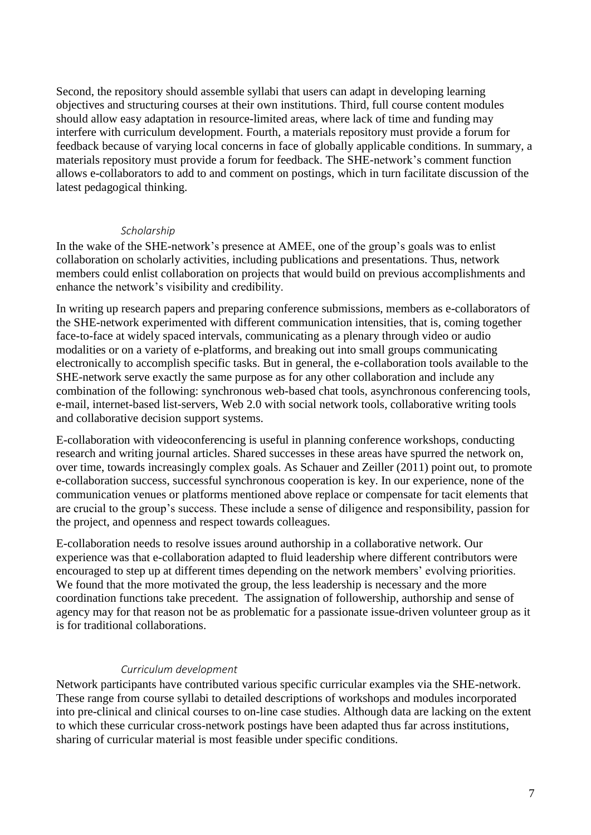Second, the repository should assemble syllabi that users can adapt in developing learning objectives and structuring courses at their own institutions. Third, full course content modules should allow easy adaptation in resource-limited areas, where lack of time and funding may interfere with curriculum development. Fourth, a materials repository must provide a forum for feedback because of varying local concerns in face of globally applicable conditions. In summary, a materials repository must provide a forum for feedback. The SHE-network's comment function allows e-collaborators to add to and comment on postings, which in turn facilitate discussion of the latest pedagogical thinking.

#### *Scholarship*

In the wake of the SHE-network's presence at AMEE, one of the group's goals was to enlist collaboration on scholarly activities, including publications and presentations. Thus, network members could enlist collaboration on projects that would build on previous accomplishments and enhance the network's visibility and credibility.

In writing up research papers and preparing conference submissions, members as e-collaborators of the SHE-network experimented with different communication intensities, that is, coming together face-to-face at widely spaced intervals, communicating as a plenary through video or audio modalities or on a variety of e-platforms, and breaking out into small groups communicating electronically to accomplish specific tasks. But in general, the e-collaboration tools available to the SHE-network serve exactly the same purpose as for any other collaboration and include any combination of the following: synchronous web-based chat tools, asynchronous conferencing tools, e-mail, internet-based list-servers, Web 2.0 with social network tools, collaborative writing tools and collaborative decision support systems.

E-collaboration with videoconferencing is useful in planning conference workshops, conducting research and writing journal articles. Shared successes in these areas have spurred the network on, over time, towards increasingly complex goals. As Schauer and Zeiller (2011) point out, to promote e-collaboration success, successful synchronous cooperation is key. In our experience, none of the communication venues or platforms mentioned above replace or compensate for tacit elements that are crucial to the group's success. These include a sense of diligence and responsibility, passion for the project, and openness and respect towards colleagues.

E-collaboration needs to resolve issues around authorship in a collaborative network. Our experience was that e-collaboration adapted to fluid leadership where different contributors were encouraged to step up at different times depending on the network members' evolving priorities. We found that the more motivated the group, the less leadership is necessary and the more coordination functions take precedent. The assignation of followership, authorship and sense of agency may for that reason not be as problematic for a passionate issue-driven volunteer group as it is for traditional collaborations.

#### *Curriculum development*

Network participants have contributed various specific curricular examples via the SHE-network. These range from course syllabi to detailed descriptions of workshops and modules incorporated into pre-clinical and clinical courses to on-line case studies. Although data are lacking on the extent to which these curricular cross-network postings have been adapted thus far across institutions, sharing of curricular material is most feasible under specific conditions.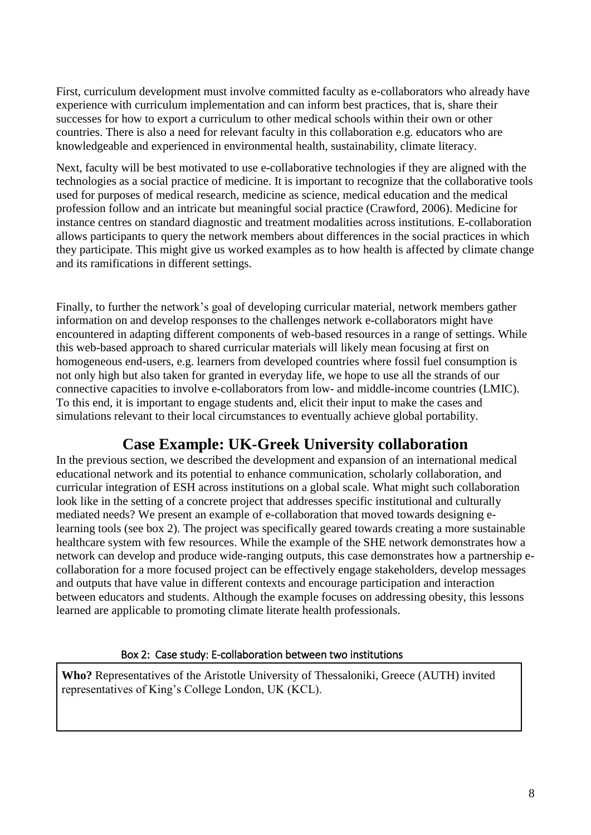First, curriculum development must involve committed faculty as e-collaborators who already have experience with curriculum implementation and can inform best practices, that is, share their successes for how to export a curriculum to other medical schools within their own or other countries. There is also a need for relevant faculty in this collaboration e.g. educators who are knowledgeable and experienced in environmental health, sustainability, climate literacy.

Next, faculty will be best motivated to use e-collaborative technologies if they are aligned with the technologies as a social practice of medicine. It is important to recognize that the collaborative tools used for purposes of medical research, medicine as science, medical education and the medical profession follow and an intricate but meaningful social practice (Crawford, 2006). Medicine for instance centres on standard diagnostic and treatment modalities across institutions. E-collaboration allows participants to query the network members about differences in the social practices in which they participate. This might give us worked examples as to how health is affected by climate change and its ramifications in different settings.

Finally, to further the network's goal of developing curricular material, network members gather information on and develop responses to the challenges network e-collaborators might have encountered in adapting different components of web-based resources in a range of settings. While this web-based approach to shared curricular materials will likely mean focusing at first on homogeneous end-users, e.g. learners from developed countries where fossil fuel consumption is not only high but also taken for granted in everyday life, we hope to use all the strands of our connective capacities to involve e-collaborators from low- and middle-income countries (LMIC). To this end, it is important to engage students and, elicit their input to make the cases and simulations relevant to their local circumstances to eventually achieve global portability.

# **Case Example: UK-Greek University collaboration**

In the previous section, we described the development and expansion of an international medical educational network and its potential to enhance communication, scholarly collaboration, and curricular integration of ESH across institutions on a global scale. What might such collaboration look like in the setting of a concrete project that addresses specific institutional and culturally mediated needs? We present an example of e-collaboration that moved towards designing elearning tools (see box 2). The project was specifically geared towards creating a more sustainable healthcare system with few resources. While the example of the SHE network demonstrates how a network can develop and produce wide-ranging outputs, this case demonstrates how a partnership ecollaboration for a more focused project can be effectively engage stakeholders, develop messages and outputs that have value in different contexts and encourage participation and interaction between educators and students. Although the example focuses on addressing obesity, this lessons learned are applicable to promoting climate literate health professionals.

#### Box 2: Case study: E-collaboration between two institutions

**Who?** Representatives of the Aristotle University of Thessaloniki, Greece (AUTH) invited representatives of King's College London, UK (KCL).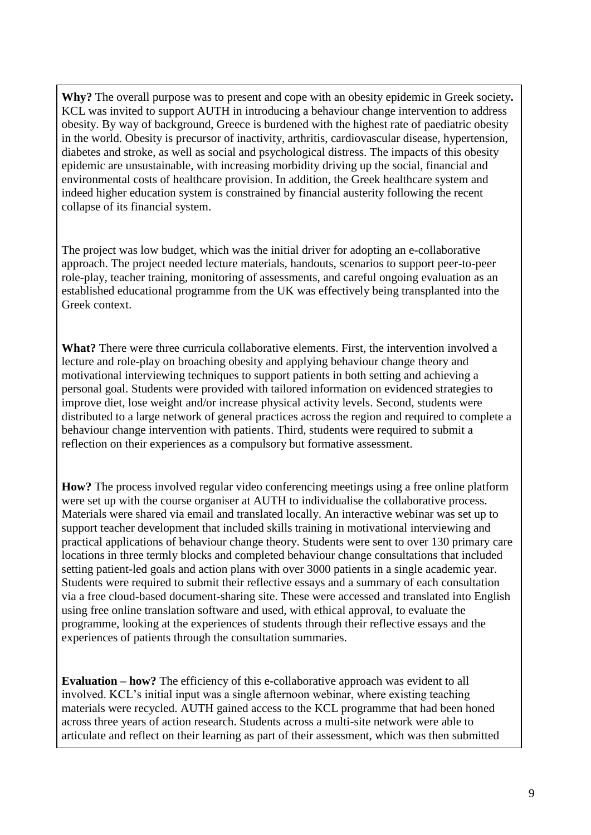**Why?** The overall purpose was to present and cope with an obesity epidemic in Greek society**.**  KCL was invited to support AUTH in introducing a behaviour change intervention to address obesity. By way of background, Greece is burdened with the highest rate of paediatric obesity in the world. Obesity is precursor of inactivity, arthritis, cardiovascular disease, hypertension, diabetes and stroke, as well as social and psychological distress. The impacts of this obesity epidemic are unsustainable, with increasing morbidity driving up the social, financial and environmental costs of healthcare provision. In addition, the Greek healthcare system and indeed higher education system is constrained by financial austerity following the recent collapse of its financial system.

The project was low budget, which was the initial driver for adopting an e-collaborative approach. The project needed lecture materials, handouts, scenarios to support peer-to-peer role-play, teacher training, monitoring of assessments, and careful ongoing evaluation as an established educational programme from the UK was effectively being transplanted into the Greek context.

**What?** There were three curricula collaborative elements. First, the intervention involved a lecture and role-play on broaching obesity and applying behaviour change theory and motivational interviewing techniques to support patients in both setting and achieving a personal goal. Students were provided with tailored information on evidenced strategies to improve diet, lose weight and/or increase physical activity levels. Second, students were distributed to a large network of general practices across the region and required to complete a behaviour change intervention with patients. Third, students were required to submit a reflection on their experiences as a compulsory but formative assessment.

**How?** The process involved regular video conferencing meetings using a free online platform were set up with the course organiser at AUTH to individualise the collaborative process. Materials were shared via email and translated locally. An interactive webinar was set up to support teacher development that included skills training in motivational interviewing and practical applications of behaviour change theory. Students were sent to over 130 primary care locations in three termly blocks and completed behaviour change consultations that included setting patient-led goals and action plans with over 3000 patients in a single academic year. Students were required to submit their reflective essays and a summary of each consultation via a free cloud-based document-sharing site. These were accessed and translated into English using free online translation software and used, with ethical approval, to evaluate the programme, looking at the experiences of students through their reflective essays and the experiences of patients through the consultation summaries.

**Evaluation – how?** The efficiency of this e-collaborative approach was evident to all involved. KCL's initial input was a single afternoon webinar, where existing teaching materials were recycled. AUTH gained access to the KCL programme that had been honed across three years of action research. Students across a multi-site network were able to articulate and reflect on their learning as part of their assessment, which was then submitted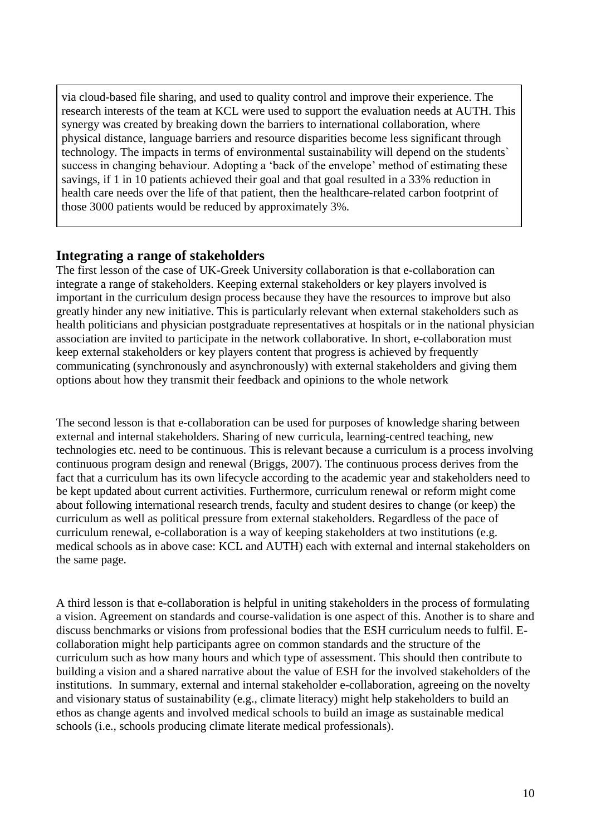via cloud-based file sharing, and used to quality control and improve their experience. The research interests of the team at KCL were used to support the evaluation needs at AUTH. This synergy was created by breaking down the barriers to international collaboration, where physical distance, language barriers and resource disparities become less significant through technology. The impacts in terms of environmental sustainability will depend on the students` success in changing behaviour. Adopting a 'back of the envelope' method of estimating these savings, if 1 in 10 patients achieved their goal and that goal resulted in a 33% reduction in health care needs over the life of that patient, then the healthcare-related carbon footprint of those 3000 patients would be reduced by approximately 3%.

## **Integrating a range of stakeholders**

The first lesson of the case of UK-Greek University collaboration is that e-collaboration can integrate a range of stakeholders. Keeping external stakeholders or key players involved is important in the curriculum design process because they have the resources to improve but also greatly hinder any new initiative. This is particularly relevant when external stakeholders such as health politicians and physician postgraduate representatives at hospitals or in the national physician association are invited to participate in the network collaborative. In short, e-collaboration must keep external stakeholders or key players content that progress is achieved by frequently communicating (synchronously and asynchronously) with external stakeholders and giving them options about how they transmit their feedback and opinions to the whole network

The second lesson is that e-collaboration can be used for purposes of knowledge sharing between external and internal stakeholders. Sharing of new curricula, learning-centred teaching, new technologies etc. need to be continuous. This is relevant because a curriculum is a process involving continuous program design and renewal (Briggs, 2007). The continuous process derives from the fact that a curriculum has its own lifecycle according to the academic year and stakeholders need to be kept updated about current activities. Furthermore, curriculum renewal or reform might come about following international research trends, faculty and student desires to change (or keep) the curriculum as well as political pressure from external stakeholders. Regardless of the pace of curriculum renewal, e-collaboration is a way of keeping stakeholders at two institutions (e.g. medical schools as in above case: KCL and AUTH) each with external and internal stakeholders on the same page.

A third lesson is that e-collaboration is helpful in uniting stakeholders in the process of formulating a vision. Agreement on standards and course-validation is one aspect of this. Another is to share and discuss benchmarks or visions from professional bodies that the ESH curriculum needs to fulfil. Ecollaboration might help participants agree on common standards and the structure of the curriculum such as how many hours and which type of assessment. This should then contribute to building a vision and a shared narrative about the value of ESH for the involved stakeholders of the institutions. In summary, external and internal stakeholder e-collaboration, agreeing on the novelty and visionary status of sustainability (e.g., climate literacy) might help stakeholders to build an ethos as change agents and involved medical schools to build an image as sustainable medical schools (i.e., schools producing climate literate medical professionals).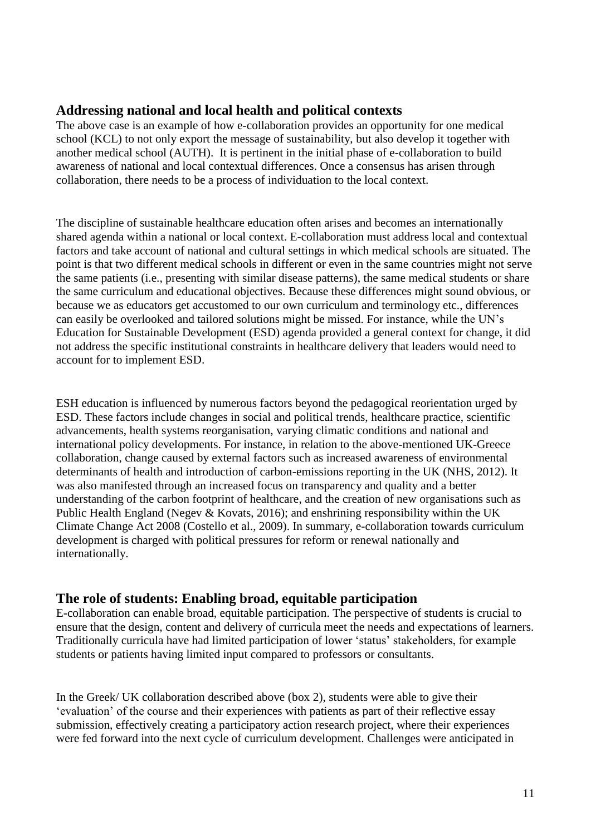## **Addressing national and local health and political contexts**

The above case is an example of how e-collaboration provides an opportunity for one medical school (KCL) to not only export the message of sustainability, but also develop it together with another medical school (AUTH). It is pertinent in the initial phase of e-collaboration to build awareness of national and local contextual differences. Once a consensus has arisen through collaboration, there needs to be a process of individuation to the local context.

The discipline of sustainable healthcare education often arises and becomes an internationally shared agenda within a national or local context. E-collaboration must address local and contextual factors and take account of national and cultural settings in which medical schools are situated. The point is that two different medical schools in different or even in the same countries might not serve the same patients (i.e., presenting with similar disease patterns), the same medical students or share the same curriculum and educational objectives. Because these differences might sound obvious, or because we as educators get accustomed to our own curriculum and terminology etc., differences can easily be overlooked and tailored solutions might be missed. For instance, while the UN's Education for Sustainable Development (ESD) agenda provided a general context for change, it did not address the specific institutional constraints in healthcare delivery that leaders would need to account for to implement ESD.

ESH education is influenced by numerous factors beyond the pedagogical reorientation urged by ESD. These factors include changes in social and political trends, healthcare practice, scientific advancements, health systems reorganisation, varying climatic conditions and national and international policy developments. For instance, in relation to the above-mentioned UK-Greece collaboration, change caused by external factors such as increased awareness of environmental determinants of health and introduction of carbon-emissions reporting in the UK (NHS, 2012). It was also manifested through an increased focus on transparency and quality and a better understanding of the carbon footprint of healthcare, and the creation of new organisations such as Public Health England (Negev & Kovats, 2016); and enshrining responsibility within the UK Climate Change Act 2008 (Costello et al., 2009). In summary, e-collaboration towards curriculum development is charged with political pressures for reform or renewal nationally and internationally.

## **The role of students: Enabling broad, equitable participation**

E-collaboration can enable broad, equitable participation. The perspective of students is crucial to ensure that the design, content and delivery of curricula meet the needs and expectations of learners. Traditionally curricula have had limited participation of lower 'status' stakeholders, for example students or patients having limited input compared to professors or consultants.

In the Greek/ UK collaboration described above (box 2), students were able to give their 'evaluation' of the course and their experiences with patients as part of their reflective essay submission, effectively creating a participatory action research project, where their experiences were fed forward into the next cycle of curriculum development. Challenges were anticipated in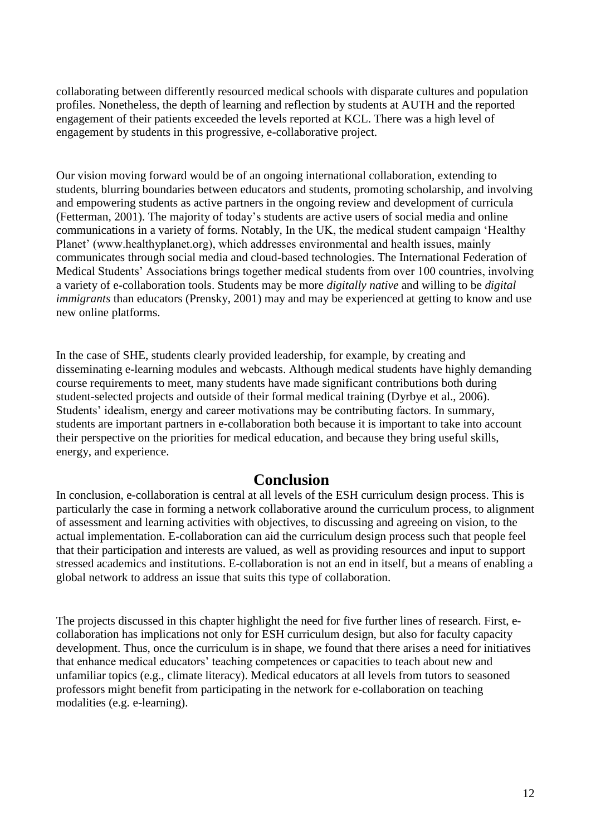collaborating between differently resourced medical schools with disparate cultures and population profiles. Nonetheless, the depth of learning and reflection by students at AUTH and the reported engagement of their patients exceeded the levels reported at KCL. There was a high level of engagement by students in this progressive, e-collaborative project.

Our vision moving forward would be of an ongoing international collaboration, extending to students, blurring boundaries between educators and students, promoting scholarship, and involving and empowering students as active partners in the ongoing review and development of curricula (Fetterman, 2001). The majority of today's students are active users of social media and online communications in a variety of forms. Notably, In the UK, the medical student campaign 'Healthy Planet' (www.healthyplanet.org), which addresses environmental and health issues, mainly communicates through social media and cloud-based technologies. The International Federation of Medical Students' Associations brings together medical students from over 100 countries, involving a variety of e-collaboration tools. Students may be more *digitally native* and willing to be *digital immigrants* than educators (Prensky, 2001) may and may be experienced at getting to know and use new online platforms.

In the case of SHE, students clearly provided leadership, for example, by creating and disseminating e-learning modules and webcasts. Although medical students have highly demanding course requirements to meet, many students have made significant contributions both during student-selected projects and outside of their formal medical training (Dyrbye et al., 2006). Students' idealism, energy and career motivations may be contributing factors. In summary, students are important partners in e-collaboration both because it is important to take into account their perspective on the priorities for medical education, and because they bring useful skills, energy, and experience.

## **Conclusion**

In conclusion, e-collaboration is central at all levels of the ESH curriculum design process. This is particularly the case in forming a network collaborative around the curriculum process, to alignment of assessment and learning activities with objectives, to discussing and agreeing on vision, to the actual implementation. E-collaboration can aid the curriculum design process such that people feel that their participation and interests are valued, as well as providing resources and input to support stressed academics and institutions. E-collaboration is not an end in itself, but a means of enabling a global network to address an issue that suits this type of collaboration.

The projects discussed in this chapter highlight the need for five further lines of research. First, ecollaboration has implications not only for ESH curriculum design, but also for faculty capacity development. Thus, once the curriculum is in shape, we found that there arises a need for initiatives that enhance medical educators' teaching competences or capacities to teach about new and unfamiliar topics (e.g., climate literacy). Medical educators at all levels from tutors to seasoned professors might benefit from participating in the network for e-collaboration on teaching modalities (e.g. e-learning).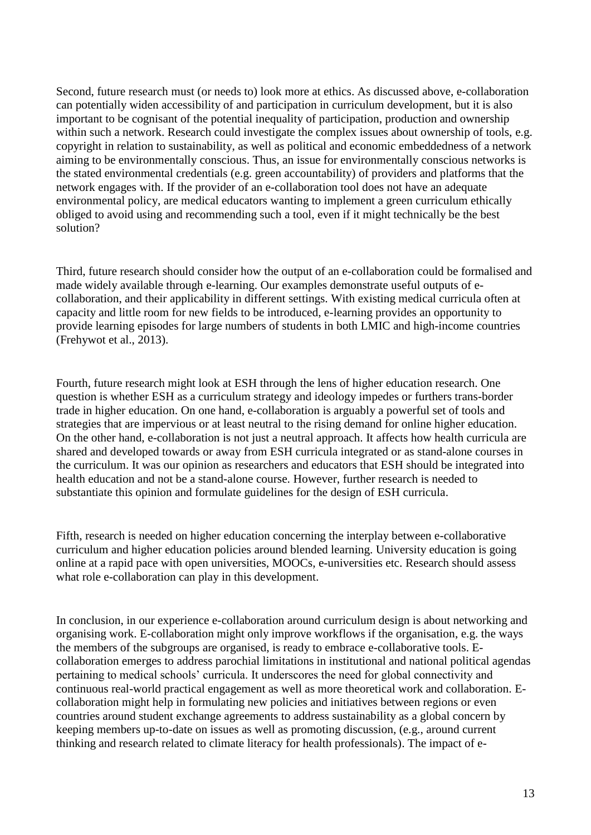Second, future research must (or needs to) look more at ethics. As discussed above, e-collaboration can potentially widen accessibility of and participation in curriculum development, but it is also important to be cognisant of the potential inequality of participation, production and ownership within such a network. Research could investigate the complex issues about ownership of tools, e.g. copyright in relation to sustainability, as well as political and economic embeddedness of a network aiming to be environmentally conscious. Thus, an issue for environmentally conscious networks is the stated environmental credentials (e.g. green accountability) of providers and platforms that the network engages with. If the provider of an e-collaboration tool does not have an adequate environmental policy, are medical educators wanting to implement a green curriculum ethically obliged to avoid using and recommending such a tool, even if it might technically be the best solution?

Third, future research should consider how the output of an e-collaboration could be formalised and made widely available through e-learning. Our examples demonstrate useful outputs of ecollaboration, and their applicability in different settings. With existing medical curricula often at capacity and little room for new fields to be introduced, e-learning provides an opportunity to provide learning episodes for large numbers of students in both LMIC and high-income countries (Frehywot et al., 2013).

Fourth, future research might look at ESH through the lens of higher education research. One question is whether ESH as a curriculum strategy and ideology impedes or furthers trans-border trade in higher education. On one hand, e-collaboration is arguably a powerful set of tools and strategies that are impervious or at least neutral to the rising demand for online higher education. On the other hand, e-collaboration is not just a neutral approach. It affects how health curricula are shared and developed towards or away from ESH curricula integrated or as stand-alone courses in the curriculum. It was our opinion as researchers and educators that ESH should be integrated into health education and not be a stand-alone course. However, further research is needed to substantiate this opinion and formulate guidelines for the design of ESH curricula.

Fifth, research is needed on higher education concerning the interplay between e-collaborative curriculum and higher education policies around blended learning. University education is going online at a rapid pace with open universities, MOOCs, e-universities etc. Research should assess what role e-collaboration can play in this development.

In conclusion, in our experience e-collaboration around curriculum design is about networking and organising work. E-collaboration might only improve workflows if the organisation, e.g. the ways the members of the subgroups are organised, is ready to embrace e-collaborative tools. Ecollaboration emerges to address parochial limitations in institutional and national political agendas pertaining to medical schools' curricula. It underscores the need for global connectivity and continuous real-world practical engagement as well as more theoretical work and collaboration. Ecollaboration might help in formulating new policies and initiatives between regions or even countries around student exchange agreements to address sustainability as a global concern by keeping members up-to-date on issues as well as promoting discussion, (e.g., around current thinking and research related to climate literacy for health professionals). The impact of e-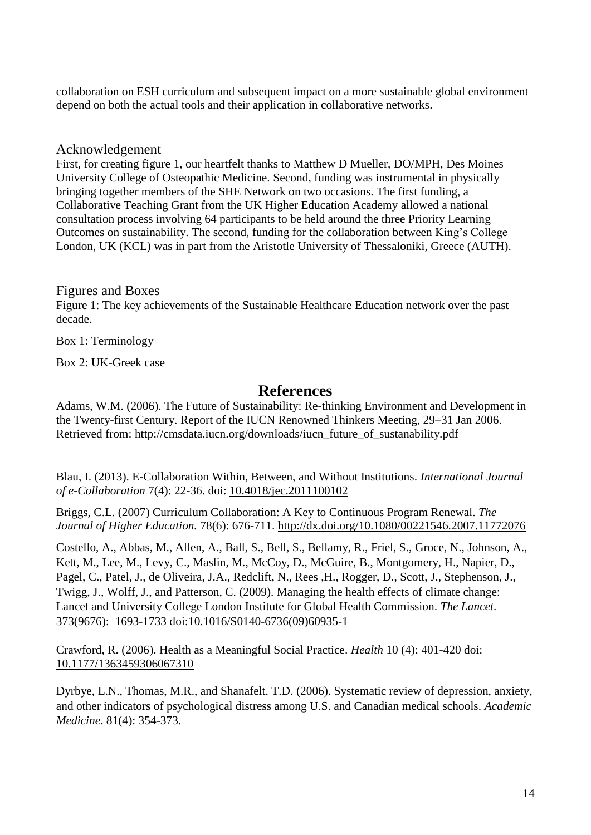collaboration on ESH curriculum and subsequent impact on a more sustainable global environment depend on both the actual tools and their application in collaborative networks.

## Acknowledgement

First, for creating figure 1, our heartfelt thanks to Matthew D Mueller, DO/MPH, Des Moines University College of Osteopathic Medicine. Second, funding was instrumental in physically bringing together members of the SHE Network on two occasions. The first funding, a Collaborative Teaching Grant from the UK Higher Education Academy allowed a national consultation process involving 64 participants to be held around the three Priority Learning Outcomes on sustainability. The second, funding for the collaboration between King's College London, UK (KCL) was in part from the Aristotle University of Thessaloniki, Greece (AUTH).

Figures and Boxes

Figure 1: The key achievements of the Sustainable Healthcare Education network over the past decade.

Box 1: Terminology

Box 2: UK-Greek case

## **References**

Adams, W.M. (2006). The Future of Sustainability: Re-thinking Environment and Development in the Twenty-first Century. Report of the IUCN Renowned Thinkers Meeting, 29–31 Jan 2006. Retrieved from: [http://cmsdata.iucn.org/downloads/iucn\\_future\\_of\\_sustanability.pdf](http://cmsdata.iucn.org/downloads/iucn_future_of_sustanability.pdf)

Blau, I. (2013). E-Collaboration Within, Between, and Without Institutions. *International Journal of e-Collaboration* 7(4): 22-36. doi: 10.4018/jec.2011100102

Briggs, C.L. (2007) Curriculum Collaboration: A Key to Continuous Program Renewal. *The Journal of Higher Education.* 78(6): 676-711.<http://dx.doi.org/10.1080/00221546.2007.11772076>

Costello, A., Abbas, M., Allen, A., Ball, S., Bell, S., Bellamy, R., Friel, S., Groce, N., Johnson, A., Kett, M., Lee, M., Levy, C., Maslin, M., McCoy, D., McGuire, B., Montgomery, H., Napier, D., Pagel, C., Patel, J., de Oliveira, J.A., Redclift, N., Rees ,H., Rogger, D., Scott, J., Stephenson, J., Twigg, J., Wolff, J., and Patterson, C. (2009). Managing the health effects of climate change: Lancet and University College London Institute for Global Health Commission. *The Lancet*. 373(9676): 1693-1733 doi[:10.1016/S0140-6736\(09\)60935-1](https://doi.org/10.1016/S0140-6736(09)60935-1)

Crawford, R. (2006). Health as a Meaningful Social Practice. *Health* 10 (4): 401-420 doi: [10.1177/1363459306067310](http://dx.doi.org/10.1177%2F1363459306067310)

Dyrbye, L.N., Thomas, M.R., and Shanafelt. T.D. (2006). Systematic review of depression, anxiety, and other indicators of psychological distress among U.S. and Canadian medical schools. *Academic Medicine*. 81(4): 354-373.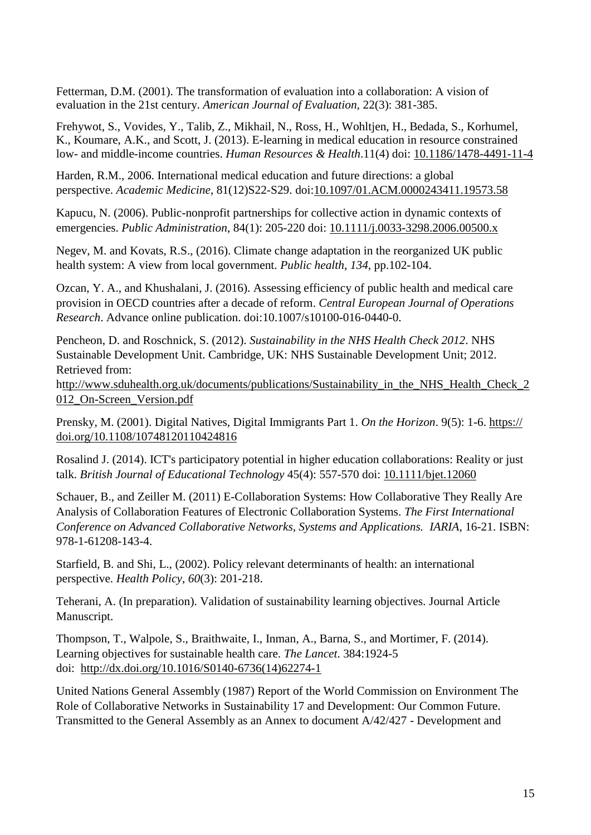Fetterman, D.M. (2001). The transformation of evaluation into a collaboration: A vision of evaluation in the 21st century. *American Journal of Evaluation,* 22(3): 381-385.

[Frehywot,](https://www.ncbi.nlm.nih.gov/pubmed/?term=Frehywot%20S%5BAuthor%5D&cauthor=true&cauthor_uid=23379467) S., [Vovides,](https://www.ncbi.nlm.nih.gov/pubmed/?term=Vovides%20Y%5BAuthor%5D&cauthor=true&cauthor_uid=23379467) Y., [Talib,](https://www.ncbi.nlm.nih.gov/pubmed/?term=Talib%20Z%5BAuthor%5D&cauthor=true&cauthor_uid=23379467) Z., [Mikhail,](https://www.ncbi.nlm.nih.gov/pubmed/?term=Mikhail%20N%5BAuthor%5D&cauthor=true&cauthor_uid=23379467) N., [Ross,](https://www.ncbi.nlm.nih.gov/pubmed/?term=Ross%20H%5BAuthor%5D&cauthor=true&cauthor_uid=23379467) H., [Wohltjen,](https://www.ncbi.nlm.nih.gov/pubmed/?term=Wohltjen%20H%5BAuthor%5D&cauthor=true&cauthor_uid=23379467) H., [Bedada,](https://www.ncbi.nlm.nih.gov/pubmed/?term=Bedada%20S%5BAuthor%5D&cauthor=true&cauthor_uid=23379467) S., [Korhumel,](https://www.ncbi.nlm.nih.gov/pubmed/?term=Korhumel%20K%5BAuthor%5D&cauthor=true&cauthor_uid=23379467) [K.](https://www.ncbi.nlm.nih.gov/pubmed/?term=Korhumel%20K%5BAuthor%5D&cauthor=true&cauthor_uid=23379467), [Koumare,](https://www.ncbi.nlm.nih.gov/pubmed/?term=Koumare%20AK%5BAuthor%5D&cauthor=true&cauthor_uid=23379467) A.K., and [Scott,](https://www.ncbi.nlm.nih.gov/pubmed/?term=Scott%20J%5BAuthor%5D&cauthor=true&cauthor_uid=23379467) J. (2013). E-learning in medical education in resource constrained low- and middle-income countries. *Human [Resources &](https://www.ncbi.nlm.nih.gov/pubmed/23379467) Health*.11(4) doi: 10.1186/1478-4491-11-4

Harden, R.M., 2006. International medical education and future directions: a global perspective. *Academic Medicine*, 81(12)S22-S29. doi[:10.1097/01.ACM.0000243411.19573.58](https://doi.org/10.1097/01.ACM.0000243411.19573.58)

Kapucu, N. (2006). Public-nonprofit partnerships for collective action in dynamic contexts of emergencies. *Public Administration*, 84(1): 205-220 doi: 10.1111/j.0033-3298.2006.00500.x

Negev, M. and Kovats, R.S., (2016). Climate change adaptation in the reorganized UK public health system: A view from local government. *Public health*, *134*, pp.102-104.

Ozcan, Y. A., and Khushalani, J. (2016). Assessing efficiency of public health and medical care provision in OECD countries after a decade of reform. *Central European Journal of Operations Research*. Advance online publication. doi:10.1007/s10100-016-0440-0.

Pencheon, D. and Roschnick, S. (2012). *Sustainability in the NHS Health Check 2012*. NHS Sustainable Development Unit. Cambridge, UK: NHS Sustainable Development Unit; 2012. Retrieved from:

http://www.sduhealth.org.uk/documents/publications/Sustainability\_in\_the\_NHS\_Health\_Check\_2 012\_On-Screen\_Version.pdf

Prensky, M. (2001). Digital Natives, Digital Immigrants Part 1. *On the Horizon*. 9(5): 1-6. https:// doi.org/10.1108/10748120110424816

Rosalind J. (2014). ICT's participatory potential in higher education collaborations: Reality or just talk. *British Journal of Educational Technology* 45(4): 557-570 doi: 10.1111/bjet.12060

Schauer, B., and Zeiller M. (2011) E-Collaboration Systems: How Collaborative They Really Are Analysis of Collaboration Features of Electronic Collaboration Systems. *The First International Conference on Advanced Collaborative Networks, Systems and Applications. IARIA*, 16-21. ISBN: 978-1-61208-143-4.

Starfield, B. and Shi, L., (2002). Policy relevant determinants of health: an international perspective. *Health Policy*, *60*(3): 201-218.

Teherani, A. (In preparation). Validation of sustainability learning objectives. Journal Article Manuscript.

Thompson, T., Walpole, S., Braithwaite, I., Inman, A., Barna, S., and Mortimer, F. (2014). Learning objectives for sustainable health care. *The Lancet*. 384:1924-5 doi: [http://dx.doi.org/10.1016/S0140-6736\(14\)62274-1](http://dx.doi.org/10.1016/S0140-6736(14)62274-1)

United Nations General Assembly (1987) Report of the World Commission on Environment The Role of Collaborative Networks in Sustainability 17 and Development: Our Common Future. Transmitted to the General Assembly as an Annex to document A/42/427 - Development and